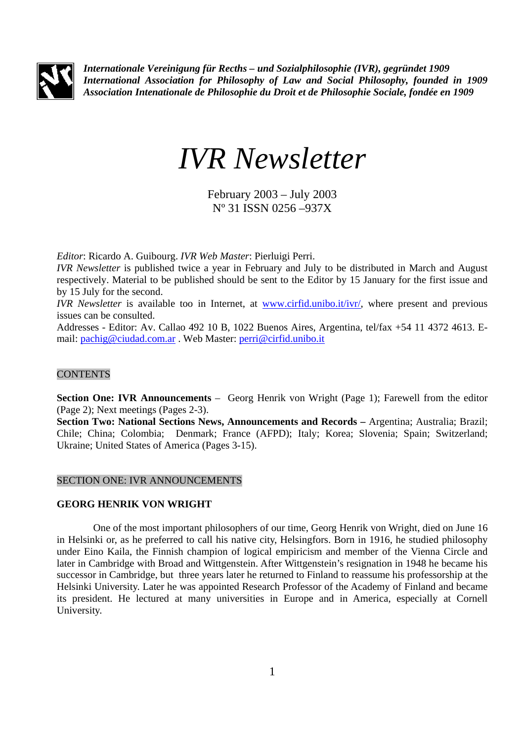

*Internationale Vereinigung für Recths – und Sozialphilosophie (IVR), gegründet 1909 International Association for Philosophy of Law and Social Philosophy, founded in 1909 Association Intenationale de Philosophie du Droit et de Philosophie Sociale, fondée en 1909* 

# *IVR Newsletter*

February 2003 – July 2003 Nº 31 ISSN 0256 –937X

*Editor*: Ricardo A. Guibourg. *IVR Web Master*: Pierluigi Perri.

*IVR Newsletter* is published twice a year in February and July to be distributed in March and August respectively. Material to be published should be sent to the Editor by 15 January for the first issue and by 15 July for the second.

*IVR Newsletter* is available too in Internet, at www.cirfid.unibo.it/ivr/, where present and previous issues can be consulted.

Addresses - Editor: Av. Callao 492 10 B, 1022 Buenos Aires, Argentina, tel/fax +54 11 4372 4613. Email: pachig@ciudad.com.ar . Web Master: perri@cirfid.unibo.it

## **CONTENTS**

**Section One: IVR Announcements** – Georg Henrik von Wright (Page 1); Farewell from the editor (Page 2); Next meetings (Pages 2-3).

**Section Two: National Sections News, Announcements and Records –** Argentina; Australia; Brazil; Chile; China; Colombia; Denmark; France (AFPD); Italy; Korea; Slovenia; Spain; Switzerland; Ukraine; United States of America (Pages 3-15).

## SECTION ONE: IVR ANNOUNCEMENTS

## **GEORG HENRIK VON WRIGHT**

One of the most important philosophers of our time, Georg Henrik von Wright, died on June 16 in Helsinki or, as he preferred to call his native city, Helsingfors. Born in 1916, he studied philosophy under Eino Kaila, the Finnish champion of logical empiricism and member of the Vienna Circle and later in Cambridge with Broad and Wittgenstein. After Wittgenstein's resignation in 1948 he became his successor in Cambridge, but three years later he returned to Finland to reassume his professorship at the Helsinki University. Later he was appointed Research Professor of the Academy of Finland and became its president. He lectured at many universities in Europe and in America, especially at Cornell University.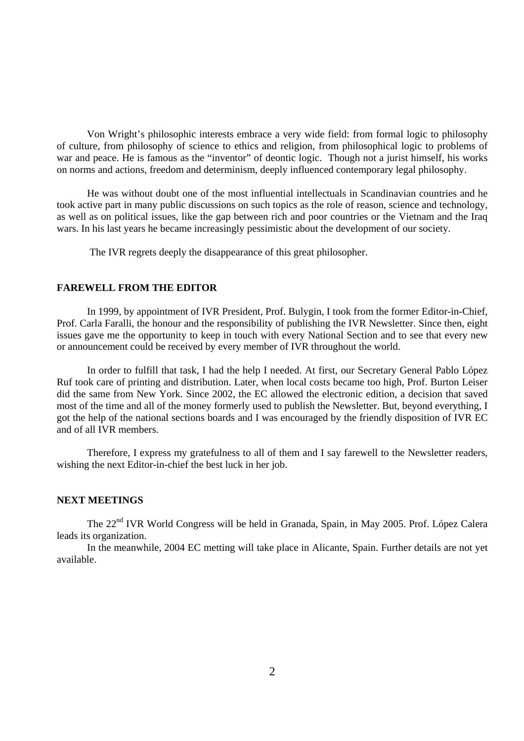Von Wright's philosophic interests embrace a very wide field: from formal logic to philosophy of culture, from philosophy of science to ethics and religion, from philosophical logic to problems of war and peace. He is famous as the "inventor" of deontic logic. Though not a jurist himself, his works on norms and actions, freedom and determinism, deeply influenced contemporary legal philosophy.

He was without doubt one of the most influential intellectuals in Scandinavian countries and he took active part in many public discussions on such topics as the role of reason, science and technology, as well as on political issues, like the gap between rich and poor countries or the Vietnam and the Iraq wars. In his last years he became increasingly pessimistic about the development of our society.

The IVR regrets deeply the disappearance of this great philosopher.

#### **FAREWELL FROM THE EDITOR**

In 1999, by appointment of IVR President, Prof. Bulygin, I took from the former Editor-in-Chief, Prof. Carla Faralli, the honour and the responsibility of publishing the IVR Newsletter. Since then, eight issues gave me the opportunity to keep in touch with every National Section and to see that every new or announcement could be received by every member of IVR throughout the world.

 In order to fulfill that task, I had the help I needed. At first, our Secretary General Pablo López Ruf took care of printing and distribution. Later, when local costs became too high, Prof. Burton Leiser did the same from New York. Since 2002, the EC allowed the electronic edition, a decision that saved most of the time and all of the money formerly used to publish the Newsletter. But, beyond everything, I got the help of the national sections boards and I was encouraged by the friendly disposition of IVR EC and of all IVR members.

 Therefore, I express my gratefulness to all of them and I say farewell to the Newsletter readers, wishing the next Editor-in-chief the best luck in her job.

#### **NEXT MEETINGS**

The 22<sup>nd</sup> IVR World Congress will be held in Granada, Spain, in May 2005. Prof. López Calera leads its organization.

 In the meanwhile, 2004 EC metting will take place in Alicante, Spain. Further details are not yet available.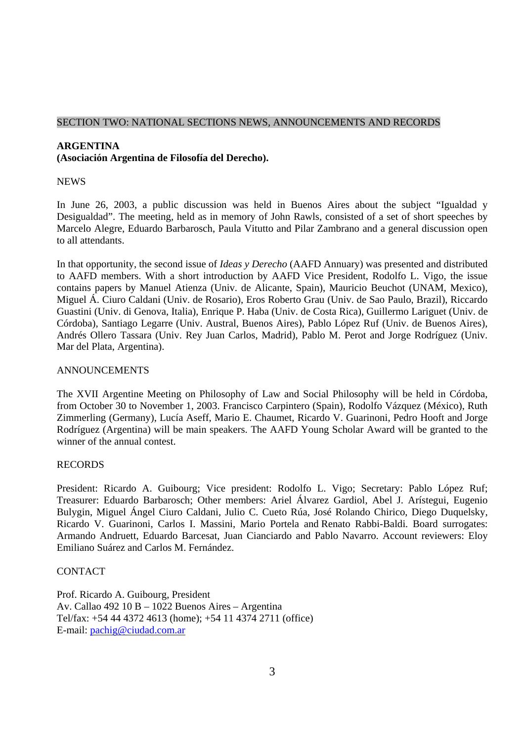## SECTION TWO: NATIONAL SECTIONS NEWS, ANNOUNCEMENTS AND RECORDS

# **ARGENTINA (Asociación Argentina de Filosofía del Derecho).**

#### **NEWS**

In June 26, 2003, a public discussion was held in Buenos Aires about the subject "Igualdad y Desigualdad". The meeting, held as in memory of John Rawls, consisted of a set of short speeches by Marcelo Alegre, Eduardo Barbarosch, Paula Vitutto and Pilar Zambrano and a general discussion open to all attendants.

In that opportunity, the second issue of *Ideas y Derecho* (AAFD Annuary) was presented and distributed to AAFD members. With a short introduction by AAFD Vice President, Rodolfo L. Vigo, the issue contains papers by Manuel Atienza (Univ. de Alicante, Spain), Mauricio Beuchot (UNAM, Mexico), Miguel Á. Ciuro Caldani (Univ. de Rosario), Eros Roberto Grau (Univ. de Sao Paulo, Brazil), Riccardo Guastini (Univ. di Genova, Italia), Enrique P. Haba (Univ. de Costa Rica), Guillermo Lariguet (Univ. de Córdoba), Santiago Legarre (Univ. Austral, Buenos Aires), Pablo López Ruf (Univ. de Buenos Aires), Andrés Ollero Tassara (Univ. Rey Juan Carlos, Madrid), Pablo M. Perot and Jorge Rodríguez (Univ. Mar del Plata, Argentina).

#### ANNOUNCEMENTS

The XVII Argentine Meeting on Philosophy of Law and Social Philosophy will be held in Córdoba, from October 30 to November 1, 2003. Francisco Carpintero (Spain), Rodolfo Vázquez (México), Ruth Zimmerling (Germany), Lucía Aseff, Mario E. Chaumet, Ricardo V. Guarinoni, Pedro Hooft and Jorge Rodríguez (Argentina) will be main speakers. The AAFD Young Scholar Award will be granted to the winner of the annual contest.

## RECORDS

President: Ricardo A. Guibourg; Vice president: Rodolfo L. Vigo; Secretary: Pablo López Ruf; Treasurer: Eduardo Barbarosch; Other members: Ariel Álvarez Gardiol, Abel J. Arístegui, Eugenio Bulygin, Miguel Ángel Ciuro Caldani, Julio C. Cueto Rúa, José Rolando Chirico, Diego Duquelsky, Ricardo V. Guarinoni, Carlos I. Massini, Mario Portela and Renato Rabbi-Baldi. Board surrogates: Armando Andruett, Eduardo Barcesat, Juan Cianciardo and Pablo Navarro. Account reviewers: Eloy Emiliano Suárez and Carlos M. Fernández.

## **CONTACT**

Prof. Ricardo A. Guibourg, President Av. Callao 492 10 B – 1022 Buenos Aires – Argentina Tel/fax: +54 44 4372 4613 (home); +54 11 4374 2711 (office) E-mail: pachig@ciudad.com.ar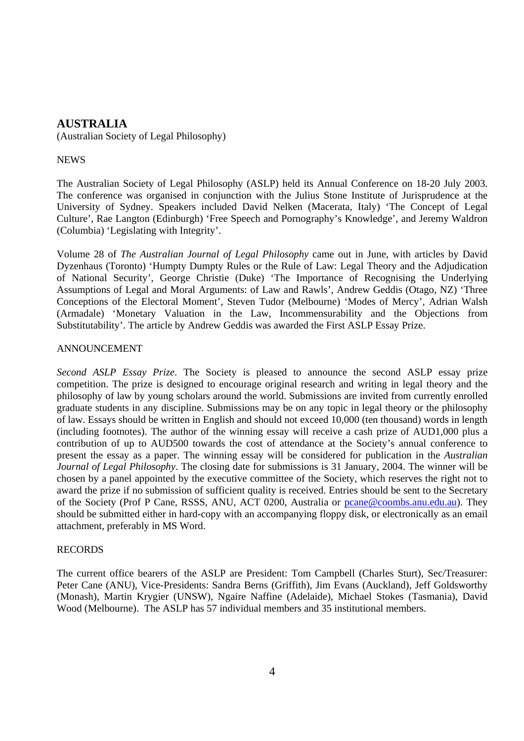# **AUSTRALIA**

(Australian Society of Legal Philosophy)

## **NEWS**

The Australian Society of Legal Philosophy (ASLP) held its Annual Conference on 18-20 July 2003. The conference was organised in conjunction with the Julius Stone Institute of Jurisprudence at the University of Sydney. Speakers included David Nelken (Macerata, Italy) 'The Concept of Legal Culture', Rae Langton (Edinburgh) 'Free Speech and Pornography's Knowledge', and Jeremy Waldron (Columbia) 'Legislating with Integrity'.

Volume 28 of *The Australian Journal of Legal Philosophy* came out in June, with articles by David Dyzenhaus (Toronto) 'Humpty Dumpty Rules or the Rule of Law: Legal Theory and the Adjudication of National Security', George Christie (Duke) 'The Importance of Recognising the Underlying Assumptions of Legal and Moral Arguments: of Law and Rawls', Andrew Geddis (Otago, NZ) 'Three Conceptions of the Electoral Moment', Steven Tudor (Melbourne) 'Modes of Mercy', Adrian Walsh (Armadale) 'Monetary Valuation in the Law, Incommensurability and the Objections from Substitutability'. The article by Andrew Geddis was awarded the First ASLP Essay Prize.

#### ANNOUNCEMENT

*Second ASLP Essay Prize*. The Society is pleased to announce the second ASLP essay prize competition. The prize is designed to encourage original research and writing in legal theory and the philosophy of law by young scholars around the world. Submissions are invited from currently enrolled graduate students in any discipline. Submissions may be on any topic in legal theory or the philosophy of law. Essays should be written in English and should not exceed 10,000 (ten thousand) words in length (including footnotes). The author of the winning essay will receive a cash prize of AUD1,000 plus a contribution of up to AUD500 towards the cost of attendance at the Society's annual conference to present the essay as a paper. The winning essay will be considered for publication in the *Australian Journal of Legal Philosophy*. The closing date for submissions is 31 January, 2004. The winner will be chosen by a panel appointed by the executive committee of the Society, which reserves the right not to award the prize if no submission of sufficient quality is received. Entries should be sent to the Secretary of the Society (Prof P Cane, RSSS, ANU, ACT 0200, Australia or pcane@coombs.anu.edu.au). They should be submitted either in hard-copy with an accompanying floppy disk, or electronically as an email attachment, preferably in MS Word.

## RECORDS

The current office bearers of the ASLP are President: Tom Campbell (Charles Sturt), Sec/Treasurer: Peter Cane (ANU), Vice-Presidents: Sandra Berns (Griffith), Jim Evans (Auckland), Jeff Goldsworthy (Monash), Martin Krygier (UNSW), Ngaire Naffine (Adelaide), Michael Stokes (Tasmania), David Wood (Melbourne). The ASLP has 57 individual members and 35 institutional members.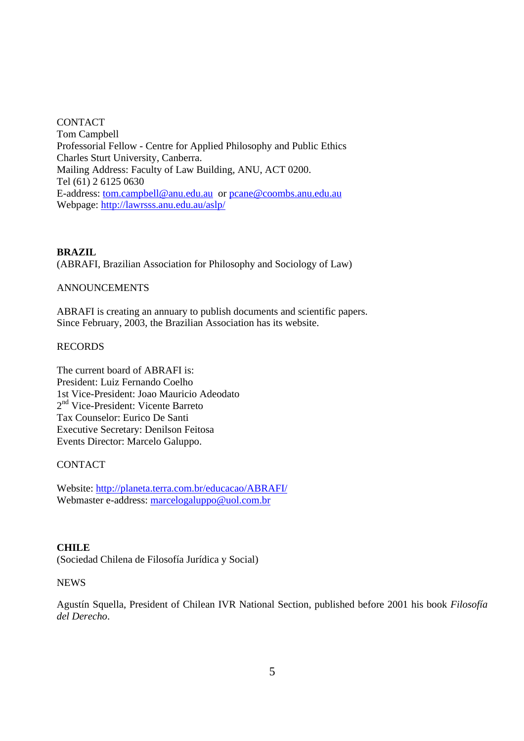**CONTACT** Tom Campbell Professorial Fellow - Centre for Applied Philosophy and Public Ethics Charles Sturt University, Canberra. Mailing Address: Faculty of Law Building, ANU, ACT 0200. Tel (61) 2 6125 0630 E-address: tom.campbell@anu.edu.au or pcane@coombs.anu.edu.au Webpage: http://lawrsss.anu.edu.au/aslp/

## **BRAZIL**

(ABRAFI, Brazilian Association for Philosophy and Sociology of Law)

## ANNOUNCEMENTS

ABRAFI is creating an annuary to publish documents and scientific papers. Since February, 2003, the Brazilian Association has its website.

## RECORDS

The current board of ABRAFI is: President: Luiz Fernando Coelho 1st Vice-President: Joao Mauricio Adeodato 2nd Vice-President: Vicente Barreto Tax Counselor: Eurico De Santi Executive Secretary: Denilson Feitosa Events Director: Marcelo Galuppo.

## CONTACT

Website: http://planeta.terra.com.br/educacao/ABRAFI/ Webmaster e-address: marcelogaluppo@uol.com.br

## **CHILE**

(Sociedad Chilena de Filosofía Jurídica y Social)

## **NEWS**

Agustín Squella, President of Chilean IVR National Section, published before 2001 his book *Filosofía del Derecho*.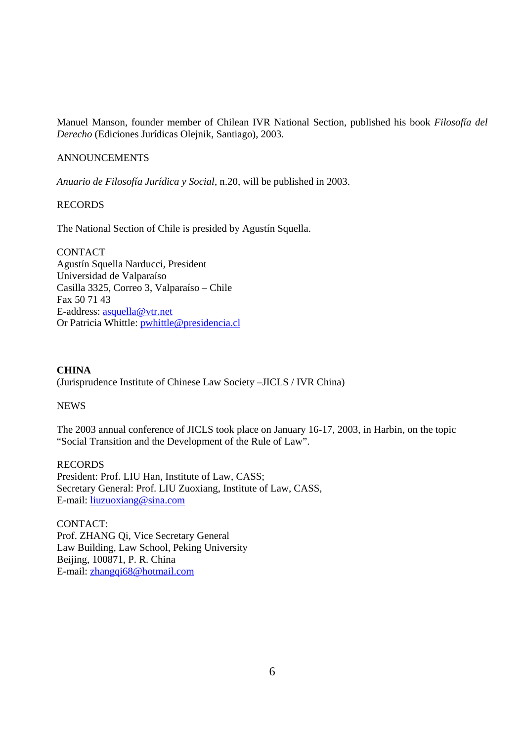Manuel Manson, founder member of Chilean IVR National Section, published his book *Filosofía del Derecho* (Ediciones Jurídicas Olejnik, Santiago), 2003.

#### ANNOUNCEMENTS

*Anuario de Filosofía Jurídica y Social*, n.20, will be published in 2003.

#### RECORDS

The National Section of Chile is presided by Agustín Squella.

**CONTACT** Agustín Squella Narducci, President Universidad de Valparaíso Casilla 3325, Correo 3, Valparaíso – Chile Fax 50 71 43 E-address: asquella@vtr.net Or Patricia Whittle: pwhittle@presidencia.cl

#### **CHINA**

(Jurisprudence Institute of Chinese Law Society –JICLS / IVR China)

#### **NEWS**

The 2003 annual conference of JICLS took place on January 16-17, 2003, in Harbin, on the topic "Social Transition and the Development of the Rule of Law".

RECORDS President: Prof. LIU Han, Institute of Law, CASS; Secretary General: Prof. LIU Zuoxiang, Institute of Law, CASS, E-mail: liuzuoxiang@sina.com

CONTACT: Prof. ZHANG Qi, Vice Secretary General Law Building, Law School, Peking University Beijing, 100871, P. R. China E-mail: zhangqi68@hotmail.com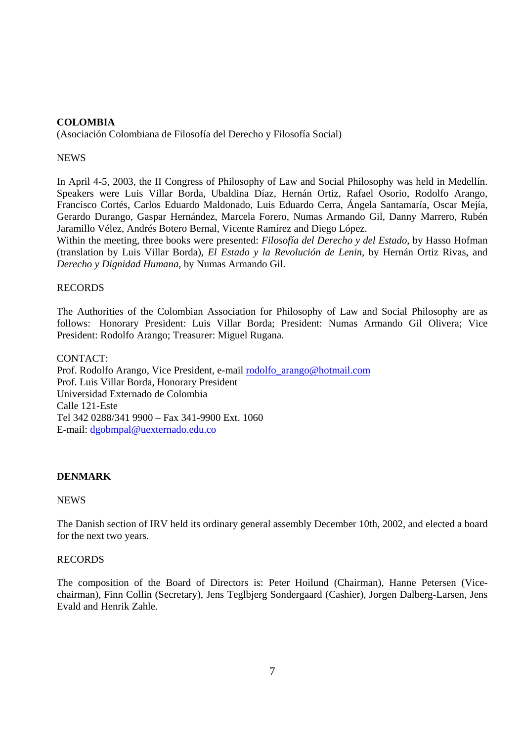# **COLOMBIA**

(Asociación Colombiana de Filosofía del Derecho y Filosofía Social)

## **NEWS**

In April 4-5, 2003, the II Congress of Philosophy of Law and Social Philosophy was held in Medellín. Speakers were Luis Villar Borda, Ubaldina Díaz, Hernán Ortiz, Rafael Osorio, Rodolfo Arango, Francisco Cortés, Carlos Eduardo Maldonado, Luis Eduardo Cerra, Ángela Santamaría, Oscar Mejía, Gerardo Durango, Gaspar Hernández, Marcela Forero, Numas Armando Gil, Danny Marrero, Rubén Jaramillo Vélez, Andrés Botero Bernal, Vicente Ramírez and Diego López.

Within the meeting, three books were presented: *Filosofía del Derecho y del Estado*, by Hasso Hofman (translation by Luis Villar Borda), *El Estado y la Revolución de Lenin*, by Hernán Ortiz Rivas, and *Derecho y Dignidad Humana*, by Numas Armando Gil.

## RECORDS

The Authorities of the Colombian Association for Philosophy of Law and Social Philosophy are as follows: Honorary President: Luis Villar Borda; President: Numas Armando Gil Olivera; Vice President: Rodolfo Arango; Treasurer: Miguel Rugana.

CONTACT: Prof. Rodolfo Arango, Vice President, e-mail rodolfo\_arango@hotmail.com Prof. Luis Villar Borda, Honorary President Universidad Externado de Colombia Calle 121-Este Tel 342 0288/341 9900 – Fax 341-9900 Ext. 1060 E-mail: dgobmpal@uexternado.edu.co

# **DENMARK**

## NEWS

The Danish section of IRV held its ordinary general assembly December 10th, 2002, and elected a board for the next two years.

## RECORDS

The composition of the Board of Directors is: Peter Hoilund (Chairman), Hanne Petersen (Vicechairman), Finn Collin (Secretary), Jens Teglbjerg Sondergaard (Cashier), Jorgen Dalberg-Larsen, Jens Evald and Henrik Zahle.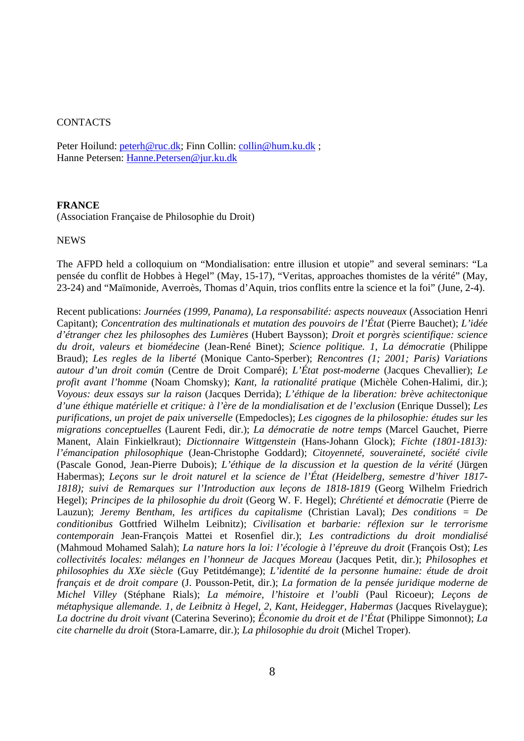#### **CONTACTS**

Peter Hoilund: peterh@ruc.dk; Finn Collin: collin@hum.ku.dk; Hanne Petersen: Hanne.Petersen@jur.ku.dk

#### **FRANCE**

(Association Française de Philosophie du Droit)

#### NEWS

The AFPD held a colloquium on "Mondialisation: entre illusion et utopie" and several seminars: "La pensée du conflit de Hobbes à Hegel" (May, 15-17), "Veritas, approaches thomistes de la vérité" (May, 23-24) and "Maïmonide, Averroès, Thomas d'Aquin, trios conflits entre la science et la foi" (June, 2-4).

Recent publications: *Journées (1999, Panama), La responsabilité: aspects nouveaux* (Association Henri Capitant); *Concentration des multinationals et mutation des pouvoirs de l'État* (Pierre Bauchet); *L'idée d'étranger chez les philosophes des Lumières* (Hubert Baysson); *Droit et porgrès scientifique: science du droit, valeurs et biomédecine* (Jean-René Binet); *Science politique. 1, La démocratie* (Philippe Braud); *Les regles de la liberté* (Monique Canto-Sperber); *Rencontres (1; 2001; Paris) Variations autour d'un droit común* (Centre de Droit Comparé); *L'État post-moderne* (Jacques Chevallier); *Le profit avant l'homme* (Noam Chomsky); *Kant, la rationalité pratique* (Michèle Cohen-Halimi, dir.); *Voyous: deux essays sur la raison* (Jacques Derrida); *L'éthique de la liberation: brève achitectonique d'une éthique matérielle et critique: à l'ère de la mondialisation et de l'exclusion* (Enrique Dussel); *Les purifications, un projet de paix universelle* (Empedocles); *Les cigognes de la philosophie: études sur les migrations conceptuelles* (Laurent Fedi, dir.); *La démocratie de notre temps* (Marcel Gauchet, Pierre Manent, Alain Finkielkraut); *Dictionnaire Wittgenstein* (Hans-Johann Glock); *Fichte (1801-1813): l'émancipation philosophique* (Jean-Christophe Goddard); *Citoyenneté, souveraineté, société civile*  (Pascale Gonod, Jean-Pierre Dubois); *L'éthique de la discussion et la question de la vérité* (Jürgen Habermas); *Leçons sur le droit naturel et la science de l'État (Heidelberg, semestre d'hiver 1817- 1818); suivi de Remarques sur l'Introduction aux leçons de 1818-1819* (Georg Wilhelm Friedrich Hegel); *Principes de la philosophie du droit* (Georg W. F. Hegel); *Chrétienté et démocratie* (Pierre de Lauzun); *Jeremy Bentham, les artifices du capitalisme* (Christian Laval); *Des conditions = De conditionibus* Gottfried Wilhelm Leibnitz); *Civilisation et barbarie: réflexion sur le terrorisme contemporain* Jean-François Mattei et Rosenfiel dir.); *Les contradictions du droit mondialisé*  (Mahmoud Mohamed Salah); *La nature hors la loi: l'écologie à l'épreuve du droit* (François Ost); *Les collectivités locales: mélanges en l'honneur de Jacques Moreau* (Jacques Petit, dir.); *Philosophes et philosophies du XXe siècle* (Guy Petitdémange); *L'identité de la personne humaine: étude de droit français et de droit compare* (J. Pousson-Petit, dir.); *La formation de la pensée juridique moderne de Michel Villey* (Stéphane Rials); *La mémoire, l'histoire et l'oubli* (Paul Ricoeur); *Leçons de métaphysique allemande. 1, de Leibnitz à Hegel, 2, Kant, Heidegger, Habermas (Jacques Rivelaygue); La doctrine du droit vivant* (Caterina Severino); *Économie du droit et de l'État* (Philippe Simonnot); *La cite charnelle du droit* (Stora-Lamarre, dir.); *La philosophie du droit* (Michel Troper).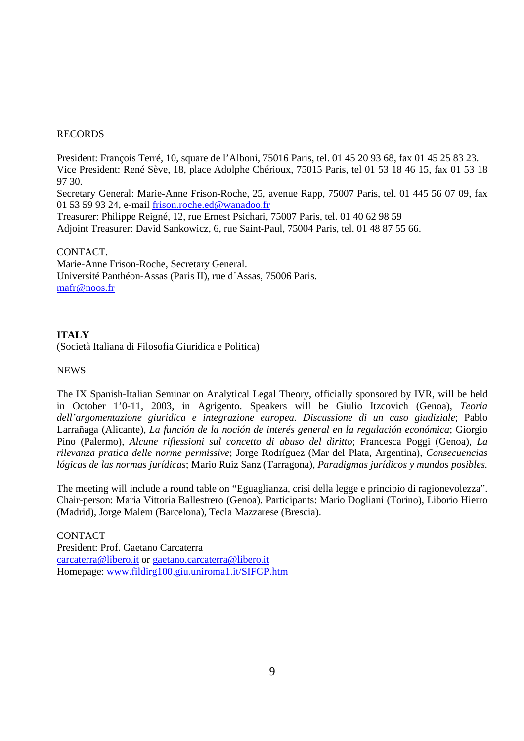## RECORDS

President: François Terré, 10, square de l'Alboni, 75016 Paris, tel. 01 45 20 93 68, fax 01 45 25 83 23. Vice President: René Sève, 18, place Adolphe Chérioux, 75015 Paris, tel 01 53 18 46 15, fax 01 53 18 97 30.

Secretary General: Marie-Anne Frison-Roche, 25, avenue Rapp, 75007 Paris, tel. 01 445 56 07 09, fax 01 53 59 93 24, e-mail frison.roche.ed@wanadoo.fr

Treasurer: Philippe Reigné, 12, rue Ernest Psichari, 75007 Paris, tel. 01 40 62 98 59 Adjoint Treasurer: David Sankowicz, 6, rue Saint-Paul, 75004 Paris, tel. 01 48 87 55 66.

#### CONTACT.

Marie-Anne Frison-Roche, Secretary General. Université Panthéon-Assas (Paris II), rue d´Assas, 75006 Paris. mafr@noos.fr

# **ITALY**

(Società Italiana di Filosofia Giuridica e Politica)

#### **NEWS**

The IX Spanish-Italian Seminar on Analytical Legal Theory, officially sponsored by IVR, will be held in October 1'0-11, 2003, in Agrigento. Speakers will be Giulio Itzcovich (Genoa), *Teoria dell'argomentazione giuridica e integrazione europea. Discussione di un caso giudiziale*; Pablo Larrañaga (Alicante), *La función de la noción de interés general en la regulación económica*; Giorgio Pino (Palermo), *Alcune riflessioni sul concetto di abuso del diritto*; Francesca Poggi (Genoa), *La rilevanza pratica delle norme permissive*; Jorge Rodríguez (Mar del Plata, Argentina), *Consecuencias lógicas de las normas jurídicas*; Mario Ruiz Sanz (Tarragona), *Paradigmas jurídicos y mundos posibles.*

The meeting will include a round table on "Eguaglianza, crisi della legge e principio di ragionevolezza". Chair-person: Maria Vittoria Ballestrero (Genoa). Participants: Mario Dogliani (Torino), Liborio Hierro (Madrid), Jorge Malem (Barcelona), Tecla Mazzarese (Brescia).

**CONTACT** President: Prof. Gaetano Carcaterra carcaterra@libero.it or gaetano.carcaterra@libero.it Homepage: www.fildirg100.giu.uniroma1.it/SIFGP.htm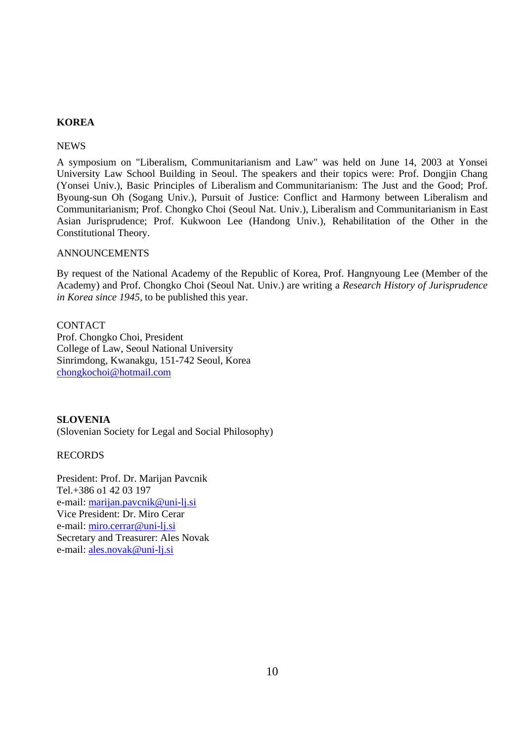# **KOREA**

#### **NEWS**

A symposium on "Liberalism, Communitarianism and Law" was held on June 14, 2003 at Yonsei University Law School Building in Seoul. The speakers and their topics were: Prof. Dongjin Chang (Yonsei Univ.), Basic Principles of Liberalism and Communitarianism: The Just and the Good; Prof. Byoung-sun Oh (Sogang Univ.), Pursuit of Justice: Conflict and Harmony between Liberalism and Communitarianism; Prof. Chongko Choi (Seoul Nat. Univ.), Liberalism and Communitarianism in East Asian Jurisprudence; Prof. Kukwoon Lee (Handong Univ.), Rehabilitation of the Other in the Constitutional Theory.

#### ANNOUNCEMENTS

By request of the National Academy of the Republic of Korea, Prof. Hangnyoung Lee (Member of the Academy) and Prof. Chongko Choi (Seoul Nat. Univ.) are writing a *Research History of Jurisprudence in Korea since 1945*, to be published this year.

**CONTACT** Prof. Chongko Choi, President College of Law, Seoul National University Sinrimdong, Kwanakgu, 151-742 Seoul, Korea chongkochoi@hotmail.com

## **SLOVENIA**

(Slovenian Society for Legal and Social Philosophy)

#### RECORDS

President: Prof. Dr. Marijan Pavcnik Tel.+386 o1 42 03 197 e-mail: marijan.pavcnik@uni-lj.si Vice President: Dr. Miro Cerar e-mail: miro.cerrar@uni-lj.si Secretary and Treasurer: Ales Novak e-mail: ales.novak@uni-lj.si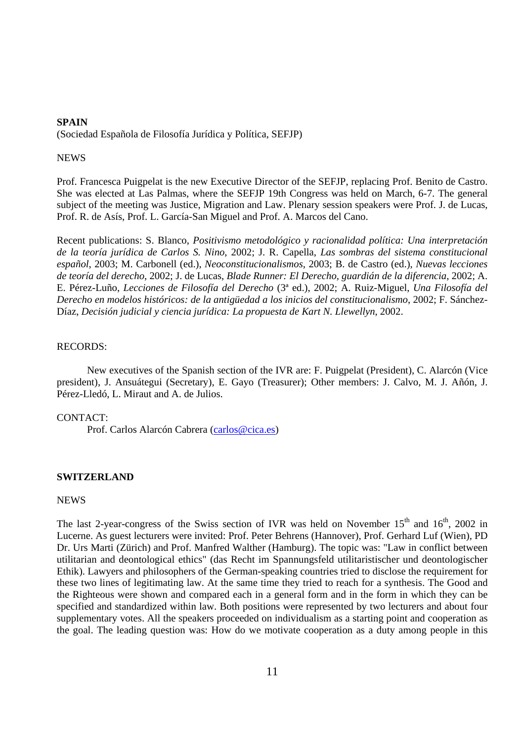# **SPAIN**  (Sociedad Española de Filosofía Jurídica y Política, SEFJP)

#### **NEWS**

Prof. Francesca Puigpelat is the new Executive Director of the SEFJP, replacing Prof. Benito de Castro. She was elected at Las Palmas, where the SEFJP 19th Congress was held on March, 6-7. The general subject of the meeting was Justice, Migration and Law. Plenary session speakers were Prof. J. de Lucas, Prof. R. de Asís, Prof. L. García-San Miguel and Prof. A. Marcos del Cano.

Recent publications: S. Blanco, *Positivismo metodológico y racionalidad política: Una interpretación de la teoría jurídica de Carlos S. Nino*, 2002; J. R. Capella, *Las sombras del sistema constitucional español*, 2003; M. Carbonell (ed.), *Neoconstitucionalismos*, 2003; B. de Castro (ed.), *Nuevas lecciones de teoría del derecho*, 2002; J. de Lucas, *Blade Runner: El Derecho, guardián de la diferencia*, 2002; A. E. Pérez-Luño, *Lecciones de Filosofía del Derecho* (3ª ed.), 2002; A. Ruiz-Miguel, *Una Filosofía del Derecho en modelos históricos: de la antigüedad a los inicios del constitucionalismo*, 2002; F. Sánchez-Díaz, *Decisión judicial y ciencia jurídica: La propuesta de Kart N. Llewellyn*, 2002.

#### RECORDS:

 New executives of the Spanish section of the IVR are: F. Puigpelat (President), C. Alarcón (Vice president), J. Ansuátegui (Secretary), E. Gayo (Treasurer); Other members: J. Calvo, M. J. Añón, J. Pérez-Lledó, L. Miraut and A. de Julios.

#### CONTACT:

Prof. Carlos Alarcón Cabrera (carlos@cica.es)

## **SWITZERLAND**

#### NEWS

The last 2-year-congress of the Swiss section of IVR was held on November  $15<sup>th</sup>$  and  $16<sup>th</sup>$ , 2002 in Lucerne. As guest lecturers were invited: Prof. Peter Behrens (Hannover), Prof. Gerhard Luf (Wien), PD Dr. Urs Marti (Zürich) and Prof. Manfred Walther (Hamburg). The topic was: "Law in conflict between utilitarian and deontological ethics" (das Recht im Spannungsfeld utilitaristischer und deontologischer Ethik). Lawyers and philosophers of the German-speaking countries tried to disclose the requirement for these two lines of legitimating law. At the same time they tried to reach for a synthesis. The Good and the Righteous were shown and compared each in a general form and in the form in which they can be specified and standardized within law. Both positions were represented by two lecturers and about four supplementary votes. All the speakers proceeded on individualism as a starting point and cooperation as the goal. The leading question was: How do we motivate cooperation as a duty among people in this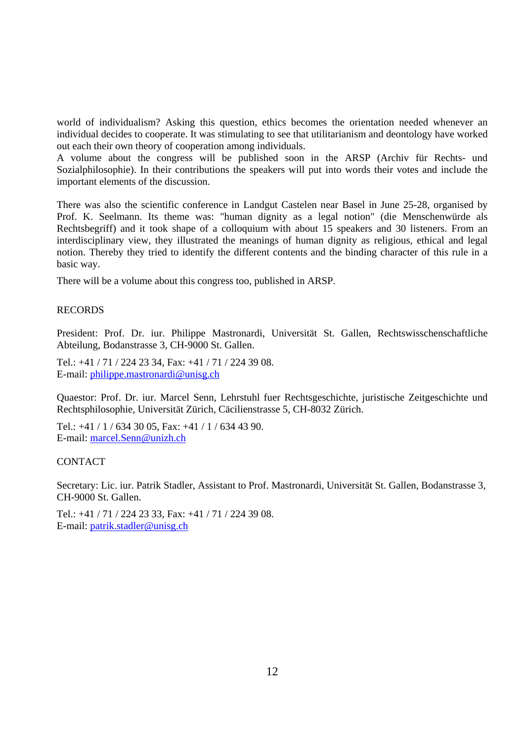world of individualism? Asking this question, ethics becomes the orientation needed whenever an individual decides to cooperate. It was stimulating to see that utilitarianism and deontology have worked out each their own theory of cooperation among individuals.

A volume about the congress will be published soon in the ARSP (Archiv für Rechts- und Sozialphilosophie). In their contributions the speakers will put into words their votes and include the important elements of the discussion.

There was also the scientific conference in Landgut Castelen near Basel in June 25-28, organised by Prof. K. Seelmann. Its theme was: "human dignity as a legal notion" (die Menschenwürde als Rechtsbegriff) and it took shape of a colloquium with about 15 speakers and 30 listeners. From an interdisciplinary view, they illustrated the meanings of human dignity as religious, ethical and legal notion. Thereby they tried to identify the different contents and the binding character of this rule in a basic way.

There will be a volume about this congress too, published in ARSP.

#### RECORDS

President: Prof. Dr. iur. Philippe Mastronardi, Universität St. Gallen, Rechtswisschenschaftliche Abteilung, Bodanstrasse 3, CH-9000 St. Gallen.

Tel.: +41 / 71 / 224 23 34, Fax: +41 / 71 / 224 39 08. E-mail: philippe.mastronardi@unisg.ch

Quaestor: Prof. Dr. iur. Marcel Senn, Lehrstuhl fuer Rechtsgeschichte, juristische Zeitgeschichte und Rechtsphilosophie, Universität Zürich, Cäcilienstrasse 5, CH-8032 Zürich.

Tel.: +41 / 1 / 634 30 05, Fax: +41 / 1 / 634 43 90. E-mail: marcel.Senn@unizh.ch

#### **CONTACT**

Secretary: Lic. iur. Patrik Stadler, Assistant to Prof. Mastronardi, Universität St. Gallen, Bodanstrasse 3, CH-9000 St. Gallen.

Tel.: +41 / 71 / 224 23 33, Fax: +41 / 71 / 224 39 08. E-mail: patrik.stadler@unisg.ch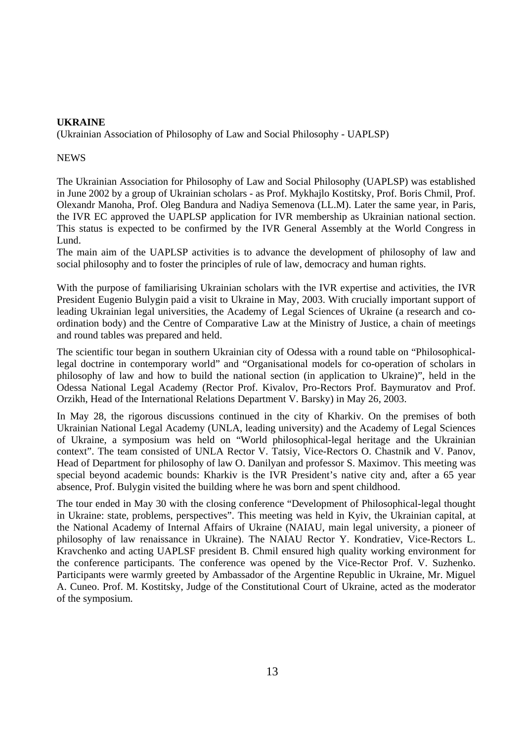## **UKRAINE**

(Ukrainian Association of Philosophy of Law and Social Philosophy - UAPLSP)

## **NEWS**

The Ukrainian Association for Philosophy of Law and Social Philosophy (UAPLSP) was established in June 2002 by a group of Ukrainian scholars - as Prof. Mykhajlo Kostitsky, Prof. Boris Chmil, Prof. Olexandr Manoha, Prof. Oleg Bandura and Nadiya Semenova (LL.M). Later the same year, in Paris, the IVR EC approved the UAPLSP application for IVR membership as Ukrainian national section. This status is expected to be confirmed by the IVR General Assembly at the World Congress in Lund.

The main aim of the UAPLSP activities is to advance the development of philosophy of law and social philosophy and to foster the principles of rule of law, democracy and human rights.

With the purpose of familiarising Ukrainian scholars with the IVR expertise and activities, the IVR President Eugenio Bulygin paid a visit to Ukraine in May, 2003. With crucially important support of leading Ukrainian legal universities, the Academy of Legal Sciences of Ukraine (a research and coordination body) and the Centre of Comparative Law at the Ministry of Justice, a chain of meetings and round tables was prepared and held.

The scientific tour began in southern Ukrainian city of Odessa with a round table on "Philosophicallegal doctrine in contemporary world" and "Organisational models for co-operation of scholars in philosophy of law and how to build the national section (in application to Ukraine)", held in the Odessa National Legal Academy (Rector Prof. Kivalov, Pro-Rectors Prof. Baymuratov and Prof. Orzikh, Head of the International Relations Department V. Barsky) in May 26, 2003.

In May 28, the rigorous discussions continued in the city of Kharkiv. On the premises of both Ukrainian National Legal Academy (UNLA, leading university) and the Academy of Legal Sciences of Ukraine, a symposium was held on "World philosophical-legal heritage and the Ukrainian context". The team consisted of UNLA Rector V. Tatsiy, Vice-Rectors O. Chastnik and V. Panov, Head of Department for philosophy of law O. Danilyan and professor S. Maximov. This meeting was special beyond academic bounds: Kharkiv is the IVR President's native city and, after a 65 year absence, Prof. Bulygin visited the building where he was born and spent childhood.

The tour ended in May 30 with the closing conference "Development of Philosophical-legal thought in Ukraine: state, problems, perspectives". This meeting was held in Kyiv, the Ukrainian capital, at the National Academy of Internal Affairs of Ukraine (NAIAU, main legal university, a pioneer of philosophy of law renaissance in Ukraine). The NAIAU Rector Y. Kondratiev, Vice-Rectors L. Kravchenko and acting UAPLSF president B. Chmil ensured high quality working environment for the conference participants. The conference was opened by the Vice-Rector Prof. V. Suzhenko. Participants were warmly greeted by Ambassador of the Argentine Republic in Ukraine, Mr. Miguel A. Cuneo. Prof. M. Kostitsky, Judge of the Constitutional Court of Ukraine, acted as the moderator of the symposium.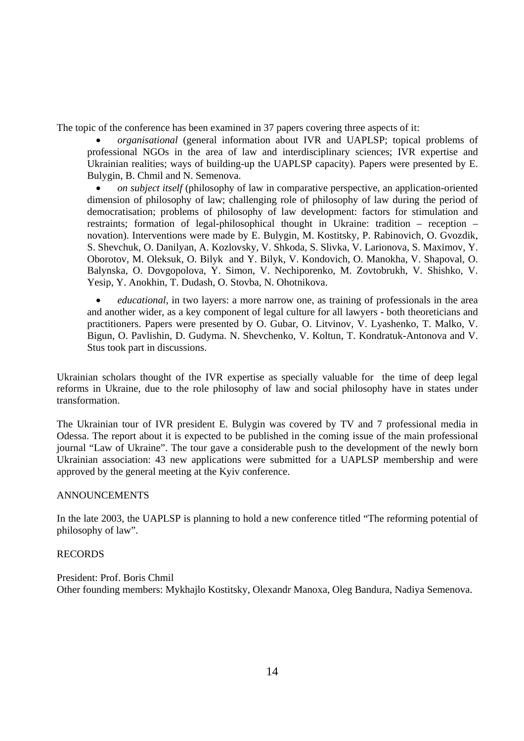The topic of the conference has been examined in 37 papers covering three aspects of it:

• *organisational* (general information about IVR and UAPLSP; topical problems of professional NGOs in the area of law and interdisciplinary sciences; IVR expertise and Ukrainian realities; ways of building-up the UAPLSP capacity). Papers were presented by E. Bulygin, B. Chmil and N. Semenova.

• *on subject itself* (philosophy of law in comparative perspective, an application-oriented dimension of philosophy of law; challenging role of philosophy of law during the period of democratisation; problems of philosophy of law development: factors for stimulation and restraints; formation of legal-philosophical thought in Ukraine: tradition – reception – novation). Interventions were made by E. Bulygin, M. Kostitsky, P. Rabinovich, O. Gvozdik, S. Shevchuk, O. Danilyan, A. Kozlovsky, V. Shkoda, S. Slivka, V. Larionova, S. Maximov, Y. Oborotov, M. Oleksuk, O. Bilyk and Y. Bilyk, V. Kondovich, O. Manokha, V. Shapoval, O. Balynska, O. Dovgopolova, Y. Simon, V. Nechiporenko, M. Zovtobrukh, V. Shishko, V. Yesip, Y. Anokhin, T. Dudash, O. Stovba, N. Ohotnikova.

• *educational*, in two layers: a more narrow one, as training of professionals in the area and another wider, as a key component of legal culture for all lawyers - both theoreticians and practitioners. Papers were presented by O. Gubar, O. Litvinov, V. Lyashenko, T. Malko, V. Bigun, O. Pavlishin, D. Gudyma. N. Shevchenko, V. Koltun, T. Kondratuk-Antonova and V. Stus took part in discussions.

Ukrainian scholars thought of the IVR expertise as specially valuable for the time of deep legal reforms in Ukraine, due to the role philosophy of law and social philosophy have in states under transformation.

The Ukrainian tour of IVR president E. Bulygin was covered by TV and 7 professional media in Odessa. The report about it is expected to be published in the coming issue of the main professional journal "Law of Ukraine". The tour gave a considerable push to the development of the newly born Ukrainian association: 43 new applications were submitted for a UAPLSP membership and were approved by the general meeting at the Kyiv conference.

## ANNOUNCEMENTS

In the late 2003, the UAPLSP is planning to hold a new conference titled "The reforming potential of philosophy of law".

#### RECORDS

President: Prof. Boris Chmil Other founding members: Mykhajlo Kostitsky, Olexandr Manoxa, Oleg Bandura, Nadiya Semenova.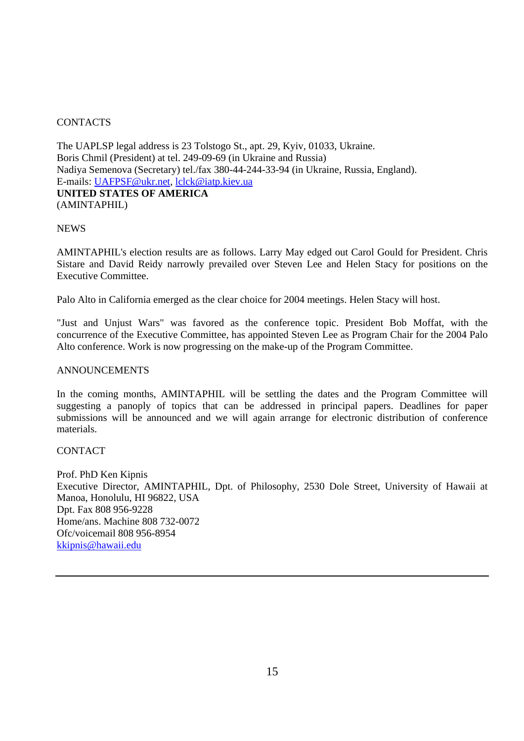# **CONTACTS**

The UAPLSP legal address is 23 Tolstogo St., apt. 29, Kyiv, 01033, Ukraine. Boris Chmil (President) at tel. 249-09-69 (in Ukraine and Russia) Nadiya Semenova (Secretary) tel./fax 380-44-244-33-94 (in Ukraine, Russia, England). E-mails: UAFPSF@ukr.net, lclck@iatp.kiev.ua **UNITED STATES OF AMERICA**  (AMINTAPHIL)

## **NEWS**

AMINTAPHIL's election results are as follows. Larry May edged out Carol Gould for President. Chris Sistare and David Reidy narrowly prevailed over Steven Lee and Helen Stacy for positions on the Executive Committee.

Palo Alto in California emerged as the clear choice for 2004 meetings. Helen Stacy will host.

"Just and Unjust Wars" was favored as the conference topic. President Bob Moffat, with the concurrence of the Executive Committee, has appointed Steven Lee as Program Chair for the 2004 Palo Alto conference. Work is now progressing on the make-up of the Program Committee.

#### ANNOUNCEMENTS

In the coming months, AMINTAPHIL will be settling the dates and the Program Committee will suggesting a panoply of topics that can be addressed in principal papers. Deadlines for paper submissions will be announced and we will again arrange for electronic distribution of conference materials.

## **CONTACT**

Prof. PhD Ken Kipnis Executive Director, AMINTAPHIL, Dpt. of Philosophy, 2530 Dole Street, University of Hawaii at Manoa, Honolulu, HI 96822, USA Dpt. Fax 808 956-9228 Home/ans. Machine 808 732-0072 Ofc/voicemail 808 956-8954 kkipnis@hawaii.edu